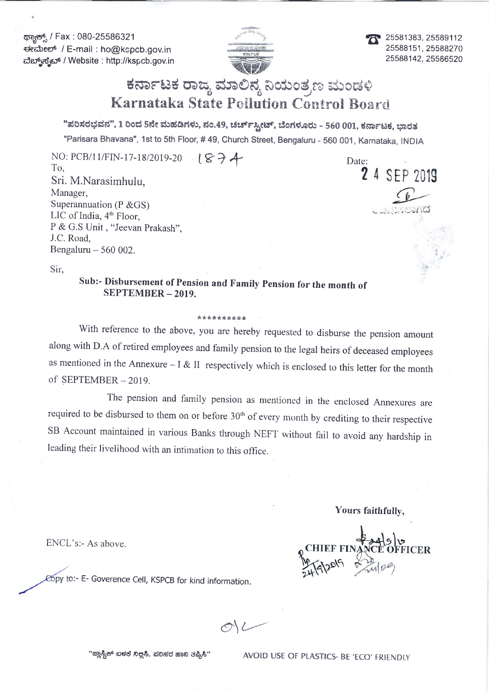ಕ್<del>ಟಾನ್ಸ್</del> / Fax : 080-25586321 ded:eet' / E-mail : ho@kspcb.gov.in da.r.;a63a:6 / Website : http://kspcb.gov.in



25581383, 25589112 25588151, 25588270 25588142,25s86520

# ಕರ್ನಾಟಕ ರಾಜ್ಯ ಮಾಲಿನ್ಯ ನಿಯಂತ್ರಣ ಮಂಡಳಿ Karnataka State Pollution Control Board

"ಪರಿಸರಭವನ", 1 ರಿಂದ 5ನೇ ಮಹಡಿಗಳು, ನಂ.49, ಚರ್ಚ್ಸ್ಟೀಟ್, ಬೆಂಗಳೂರು - 560 001, ಕರ್ನಾಟಕ, ಭಾರತ "Parisara Bhavana", 1st to Sth Floor, # 49, Church Street, Bengaluru - 560 001, Karnataka, INDIA

NO: PCB/11/FIN-17-18/2019-20  $\cdot$  (  $\mathcal{S}$   $\rightarrow$   $\mathcal{A}$  Date To, Sri. M.Narasimhulu, Manager, Superannuation (P &GS) LIC of India,  $4<sup>th</sup>$  Floor, P & G.S Unit, "Jeevan Prakash", J.C. Road, Bengaluru  $-560002$ .

2 4 SEP 2019

 $\sin$ ,  $\sin$ ,  $\sin$ ,  $\sin$ ,  $\sin$ ,  $\sin$ ,  $\sin$ ,  $\sin$ ,  $\sin$ ,  $\sin$ ,  $\sin$ ,  $\sin$ ,  $\sin$ ,  $\sin$ ,  $\sin$ ,  $\sin$ ,  $\sin$ ,  $\sin$ ,  $\sin$ ,  $\sin$ ,  $\sin$ ,  $\sin$ ,  $\sin$ ,  $\sin$ ,  $\sin$ ,  $\sin$ ,  $\sin$ ,  $\sin$ ,  $\sin$ ,  $\sin$ ,  $\sin$ ,  $\sin$ ,  $\sin$ ,  $\sin$ ,  $\sin$ ,  $\sin$ ,  $\sin$ ,

sub:- Disbursement of pension and Family pension for the month of SEPTEMBER - 2019.

#### \*\*\*rr\*\*rt\*:k\*

with reference to the above, you are hereby requested to disburse the pension amount along with D.A of retired employees and family pension to the legal heirs of deceased employees as mentioned in the Annexure  $-1 & 1$  is respectively which is enclosed to this letter for the month of SEPTEMBER - 2019.

The pension and family pension as mentioned in the enclosed Annexures are required to be disbursed to them on or before  $30<sup>th</sup>$  of every month by crediting to their respective SB Account maintained in various Banks through NEFT without fail to avoid any hardship in leading their livelihood with an intimation to this office.

Yours faithfully,

ENCL's:- As above.

o:- E- Goverence Cell, KSPCB for kind information.

 $M_{\sim}$ 

"ಪ್ಲಾಸ್ಟಿಕ್ ಬಳಕೆ ನಿಲ್ಲಿಸಿ, ಪಲಿಸರ ಹಾನಿ ತಪ್ಪಿಸಿ" AVOID USE OF PLASTICS- BE 'ECO' FRIENDLY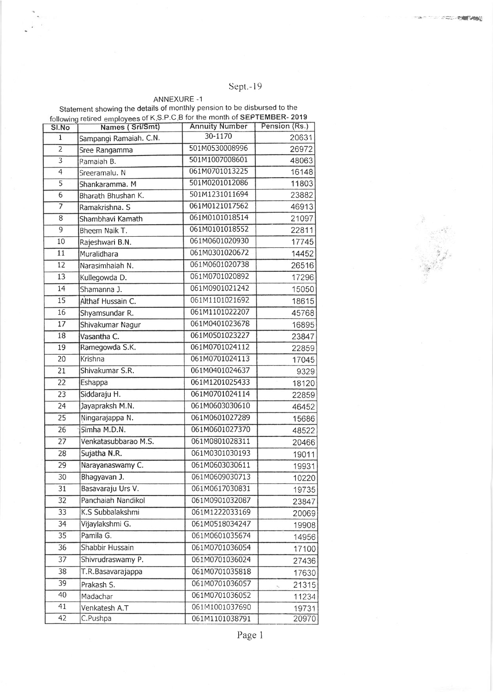Sept.-19

#### ANNEXURE -1 Statement showing the details of monthly pension to be disbursed to the retired employees of K.S.P.C.B for the month of SEPTEMBER- 2019

| SI.No                     | Names (Sri/Smt)        | <b>Annuity Number</b> | Pension (Rs.) |
|---------------------------|------------------------|-----------------------|---------------|
| $\mathbf{1}$              | Sampangi Ramaiah. C.N. | 30-1170               | 20631         |
| $\overline{2}$            | Sree Rangamma          | 501M0530008996        | 26972         |
| $\overline{\overline{3}}$ | Ramaiah B.             | 501M1007008601        | 48063         |
| 4                         | Sreeramalu. N          | 061M0701013225        | 16148         |
| $\overline{5}$            | Shankaramma. M         | 501M0201012086        | 11803         |
| $\overline{6}$            | Bharath Bhushan K.     | 501M1231011694        | 23882         |
| 7                         | Ramakrishna. S         | 061M0121017562        | 46913         |
| 8                         | Shambhavi Kamath       | 061M0101018514        | 21097         |
| $\overline{9}$            | Bheem Naik T.          | 061M0101018552        | 22811         |
| 10                        | Rajeshwari B.N.        | 061M0601020930        | 17745         |
| 11                        | Muralidhara            | 061M0301020672        | 14452         |
| 12                        | Narasimhaiah N.        | 061M0601020738        | 26516         |
| 13                        | Kullegowda D.          | 061M0701020892        | 17296         |
| 14                        | Shamanna J.            | 061M0901021242        | 15050         |
| 15                        | Althaf Hussain C.      | 061M1101021692        | 18615         |
| 16                        | Shyamsundar R.         | 061M1101022207        | 45768         |
| 17                        | Shivakumar Nagur       | 061M0401023678        | 16895         |
| 18                        | Vasantha C.            | 061M0501023227        | 23847         |
| 19                        | Ramegowda S.K.         | 061M0701024112        | 22859         |
| $\overline{20}$           | Krishna                | 061M0701024113        | 17045         |
| 21                        | Shivakumar S.R.        | 061M0401024637        | 9329          |
| 22                        | Eshappa                | 061M1201025433        | 18120         |
| 23                        | Siddaraju H.           | 061M0701024114        | 22859         |
| 24                        | Jayapraksh M.N.        | 061M0603030610        | 46452         |
| $\overline{25}$           | Ningarajappa N.        | 061M0601027289        | 15686         |
| 26                        | Simha M.D.N.           | 061M0601027370        | 48522         |
| $\overline{27}$           | Venkatasubbarao M.S.   | 061M0801028311        | 20466         |
| 28                        | Sujatha N.R.           | 061M0301030193        | 19011         |
| 29                        | Narayanaswamy C.       | 061M0603030611        | 19931         |
| $\overline{30}$           | Bhagyavan J.           | 061M0609030713        | 10220         |
| 31                        | Basavaraju Urs V.      | 061M0617030831        | 19735         |
| 32                        | Panchaiah Nandikol     | 061M0901032087        | 23847         |
| 33                        | K.S Subbalakshmi       | 061M1222033169        | 20069         |
| 34                        | Vijaylakshmi G.        | 061M0518034247        | 19908         |
| 35                        | Pamila G.              | 061M0601035674        | 14956         |
| 36                        | Shabbir Hussain        | 061M0701036054        | 17100         |
| 37                        | Shivrudraswamy P.      | 061M0701036024        | 27436         |
| 38                        | T.R.Basavarajappa      | 061M0701035818        | 17630         |
| 39                        | Prakash S.             | 061M0701036057        | 21315         |
| 40                        | Madachar               | 061M0701036052        | 11234         |
| 41                        | Venkatesh A.T          | 061M1001037690        | 19731         |
| 42                        | C.Pushpa               | 061M1101038791        | 20970         |
|                           |                        |                       |               |

Page 1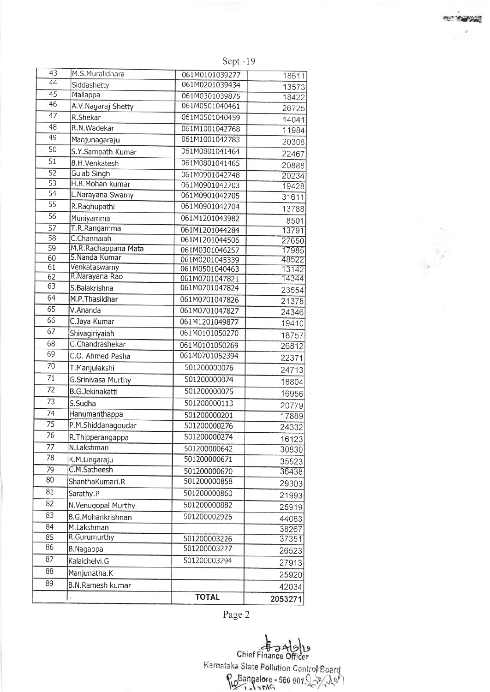Sept.- i 9

| 43                    | M.S.Muralidhara                      |                                  |                |
|-----------------------|--------------------------------------|----------------------------------|----------------|
| 44                    |                                      | 061M0101039277<br>061M0201039434 | 18611          |
| 45                    | Siddashetty<br>Mallappa              | 061M0301039875                   | 13573          |
| 46                    |                                      | 061M0501040461                   | 18422          |
| 47                    | A.V.Nagaraj Shetty<br>R.Shekar       | 061M0501040459                   | 26725          |
| 48                    | R.N.Wadekar                          |                                  | 14041          |
| 49                    |                                      | 061M1001042768                   | 11984          |
| 50                    | Manjunagaraju                        | 061M1001042783                   | 20308          |
|                       | S.Y.Sampath Kumar                    | 061M0801041464                   | 22467          |
| $\overline{51}$       | <b>B.H.Venkatesh</b>                 | 061M0801041465                   | 20888          |
| $\overline{52}$       | Gulab Singh                          | 061M0901042748                   | 20234          |
| 53<br>$\overline{54}$ | H.R. Mohan kumar                     | 061M0901042703                   | 19428          |
|                       | L.Narayana Swamy                     | 061M0901042705                   | 31611          |
| $\overline{55}$       | R.Raghupathi                         | 061M0901042704                   | 13788          |
| 56                    | Muniyamma                            | 061M1201043982                   | 8501           |
| $\overline{57}$       | T.R.Rangamma                         | 061M1201044284                   | 13791          |
| 58                    | C.Channaiah                          | 061M1201044506                   | 27650          |
| 59                    | M.R.Rachappana Mata<br>S.Nanda Kumar | 061M0301046257                   | 17985          |
| 60<br>61              | Venkataswamy                         | 061M0201045339                   | 48522          |
| 62                    | R.Narayana Rao                       | 061M0501040463<br>061M0701047821 | 13142<br>14344 |
| 63                    | S.Balakrishna                        | 061M0701047824                   |                |
| 64                    | M.P.Thasildhar                       | 061M0701047826                   | 23554          |
| 65                    | V.Ananda                             | 061M0701047827                   | 21378          |
| 66                    | C.Jaya Kumar                         | 061M1201049877                   | 24346          |
| 67                    |                                      | 061M0101050270                   | 19410          |
| 68                    | Shivagiriyaiah<br>G.Chandrashekar    |                                  | 18757          |
| 69                    |                                      | 061M0101050269                   | 26812          |
| 70                    | C.O. Ahmed Pasha                     | 061M0701052394                   | 22371          |
|                       | T.Manjulakshi                        | 501200000076                     | 24713          |
| 71                    | G.Srinivasa Murthy                   | 501200000074                     | 18804          |
| 72                    | <b>B.G.Jekinakatti</b>               | 501200000075                     | 16956          |
| 73                    | S.Sudha                              | 501200000113                     | 20779          |
| 74                    | Hanumanthappa                        | 501200000201                     | 17889          |
| 75                    | P.M.Shiddanagoudar                   | 501200000276                     | 24332          |
| 76                    | R. Thipperangappa                    | 501200000274                     | 16123          |
| 77                    | N.Lakshman                           | 501200000642                     | 30830          |
| 78                    | K.M.Lingaraju                        | 501200000671                     | 35523          |
| 79                    | C.M.Satheesh                         | 501200000670                     | 36438          |
| 80                    | ShanthaKumari.R                      | 501200000858                     | 29303          |
| 81                    | Sarathy.P                            | 501200000860                     | 21993          |
| 82                    | N.Venugopal Murthy                   | 501200000882                     |                |
| 83                    | B.G.Mohankrishnan                    | 501200002925                     | 25919          |
| 84                    | M.Lakshman                           |                                  | 44083          |
| 85                    | R.Gurumurthy                         | 501200003226                     | 38267<br>37351 |
| 86                    | B.Nagappa                            | 501200003227                     |                |
| 87                    |                                      | 501200003294                     | 26523          |
| 88                    | Kalaichelvi.G                        |                                  | 27913          |
|                       | Manjunatha.K                         |                                  | 25920          |
| 89                    | B.N.Ramesh kumar                     |                                  | 42034          |
|                       | ł.                                   | <b>TOTAL</b>                     | 2053271        |

Page 2

**U** Chief Finance Officer Karnataka State Pollution Control Board<br>Research 1997, 2007, 2008